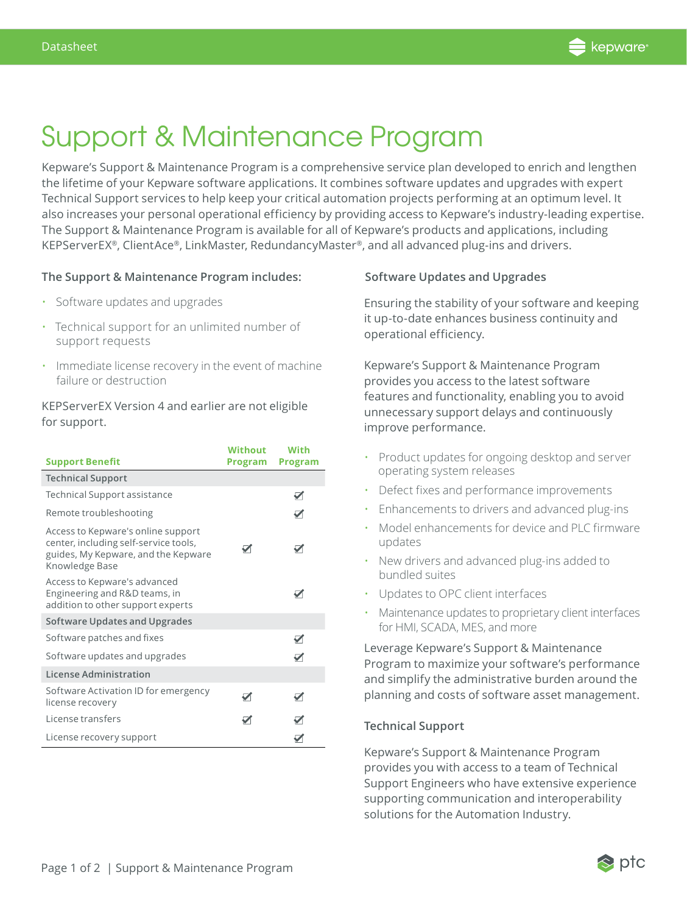

# Support & Maintenance Program

Kepware's Support & Maintenance Program is a comprehensive service plan developed to enrich and lengthen the lifetime of your Kepware software applications. It combines software updates and upgrades with expert Technical Support services to help keep your critical automation projects performing at an optimum level. It also increases your personal operational efficiency by providing access to Kepware's industry-leading expertise. The Support & Maintenance Program is available for all of Kepware's products and applications, including KEPServerEX®, ClientAce®, LinkMaster, RedundancyMaster®, and all advanced plug-ins and drivers.

## **The Support & Maintenance Program includes:**

- Software updates and upgrades
- Technical support for an unlimited number of support requests
- Immediate license recovery in the event of machine failure or destruction

KEPServerEX Version 4 and earlier are not eligible for support.

| <b>Support Benefit</b>                                                                                                               | Without<br>Program   | <b>With</b><br><b>Program</b> |
|--------------------------------------------------------------------------------------------------------------------------------------|----------------------|-------------------------------|
| <b>Technical Support</b>                                                                                                             |                      |                               |
| Technical Support assistance                                                                                                         |                      | ✓                             |
| Remote troubleshooting                                                                                                               |                      |                               |
| Access to Kepware's online support<br>center, including self-service tools,<br>guides, My Kepware, and the Kepware<br>Knowledge Base | ✓                    | $\blacktriangledown$          |
| Access to Kepware's advanced<br>Engineering and R&D teams, in<br>addition to other support experts                                   |                      |                               |
| Software Updates and Upgrades                                                                                                        |                      |                               |
| Software patches and fixes                                                                                                           |                      | ✓                             |
| Software updates and upgrades                                                                                                        |                      |                               |
| License Administration                                                                                                               |                      |                               |
| Software Activation ID for emergency<br>license recovery                                                                             | $\blacktriangledown$ | ✓                             |
| License transfers                                                                                                                    | ☑                    |                               |
| License recovery support                                                                                                             |                      |                               |

### **Software Updates and Upgrades**

Ensuring the stability of your software and keeping it up-to-date enhances business continuity and operational efficiency.

Kepware's Support & Maintenance Program provides you access to the latest software features and functionality, enabling you to avoid unnecessary support delays and continuously improve performance.

- Product updates for ongoing desktop and server operating system releases
- Defect fixes and performance improvements
- Enhancements to drivers and advanced plug-ins
- Model enhancements for device and PLC firmware updates
- New drivers and advanced plug-ins added to bundled suites
- Updates to OPC client interfaces
- Maintenance updates to proprietary client interfaces for HMI, SCADA, MES, and more

Leverage Kepware's Support & Maintenance Program to maximize your software's performance and simplify the administrative burden around the planning and costs of software asset management.

#### **Technical Support**

Kepware's Support & Maintenance Program provides you with access to a team of Technical Support Engineers who have extensive experience supporting communication and interoperability solutions for the Automation Industry.